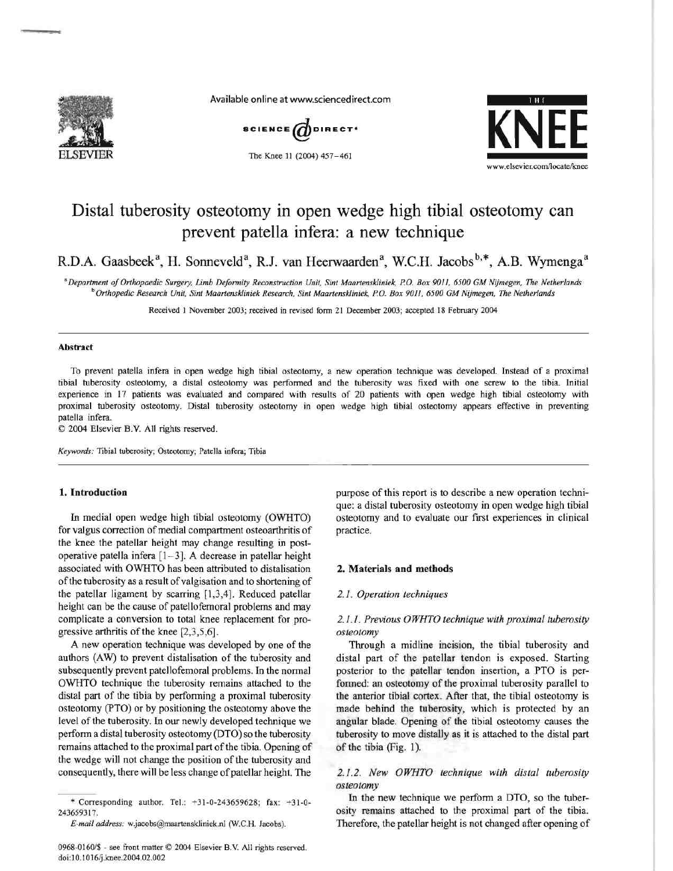

Available online at www.sciencedirect.com



The Knee 11 (2004) 457-461



# Distal tuberosity osteotomy in open wedge high tibial osteotomy can prevent patella infera: a new technique

R.D.A. Gaasbeek<sup>a</sup>, H. Sonneveld<sup>a</sup>, R.J. van Heerwaarden<sup>a</sup>, W.C.H. Jacobs<sup>b,\*</sup>, A.B. Wymenga<sup>a</sup>

*aDepartment ofOrthopaedic Surgery, Limb Deformity Reconstruction Unit, Sint Maartensldiniek, P.O. Box 9011,6500 GM Nijmegen, The Netherlands*  <sup>b</sup> Orthopedic Research Unit, Sint Maartenskliniek Research, Sint Maartenskliniek, P.O. Box 9011, 6500 GM Nijmegen, The Netherlands

Received 1 November 2003; received in revised form 21 December 2003; accepted 18 February 2004

#### Abstract

To prevent patella infera in open wedge high tibial osteotomy, a new operation technique was developed. Instead of a proximal tibial tuberosity osteotomy, a distal osteotomy was performed and the tuberosity was fixed with one screw to the tibia. Initial experience in 17 patients was evaluated and compared with results of 20 patients with open wedge high tibial osteotomy with proximal tuberosity osteotomy. Distal tuberosity osteotomy in open wedge high tibial osteotomy appears effective in preventing patella infera.

© 2004 Elsevier B.V. All rights reserved.

*Keywords:* Tibia1 tuberosity; Osteotomy; Patella infera; Tibia

# 1. Introduction

In medial open wedge high tibial osteotomy (OWHTO) for valgus correction of medial compartment osteoarthritis of the knee the patellar height may change resulting in postoperative patella infera [1- 3]. A decrease in patellar height associated with OWHTO has been attributed to distalisation ofthe tuberosity as a result ofvalgisation and to shortening of the patellar ligament by scarring [1,3,4]. Reduced patellar height can be the cause of patellofemoral problems and may complicate a conversion to total knee replacement for progressive arthritis of the knee  $[2,3,5,6]$ .

A new operation technique was developed by one of the authors (AW) 10 prevent distalisation of the tuberosity and subsequently prevent patellofemoral problems. In the normal OWHTO technique the tuberosity remains attached to the distal part of the tibia by performing a proximal tuberosity osteotomy (PTO) or by positioning the osteotomy above the level of the tuberosity. In our newly developed technique we perform a distal tuberosity osteotomy (DTO) so the tuberosity remains attached to the proximal part of the tibia. Opening of the wedge will not change the position of the tuberosity and consequently, there will be less change of patellar height. The

\* Corresponding author. Tel.: +31-0-243659628; fax: +31-0- 243659317.

purpose of this report is to describe a new operation technique: a distal tuberosity osteotomy in open wedge high tibial osteotomy and to evaluate our first experiences in clinical practice.

#### 2. Materials and methods

#### *2.1. Operation techniques*

# *2.1.1. Previous* 0 *WHTO technique with proximal tuberosity osteotomy*

Through a midline incision, the tibial tuberosity and distal part of the patellar tendon is exposed. Starting posterior 10 the patellar tendon insertion, a PTO is performed: an osteotomy of the proximal tuberosity parallel to the anterior tibial cortex. After that, the tibial osteotomy is made behind the tuberosity, which is protected by an angular blade. Opening of the tibial osteotomy causes the tuberosity to move distally as it is attached to the distal part of the tibia (Fig. 1).

### *2.1.2. New OWHTO technique with distal tuberosity osteotomy*

In the new technique we perform a DTO, so the tuberosity remains attached 10 the proximal part of the tibia. Therefore, the patellar height is not changed after opening of

*E-mail address:* w.jacobs@maartenskliniek.nl (W.C.H. Jacobs).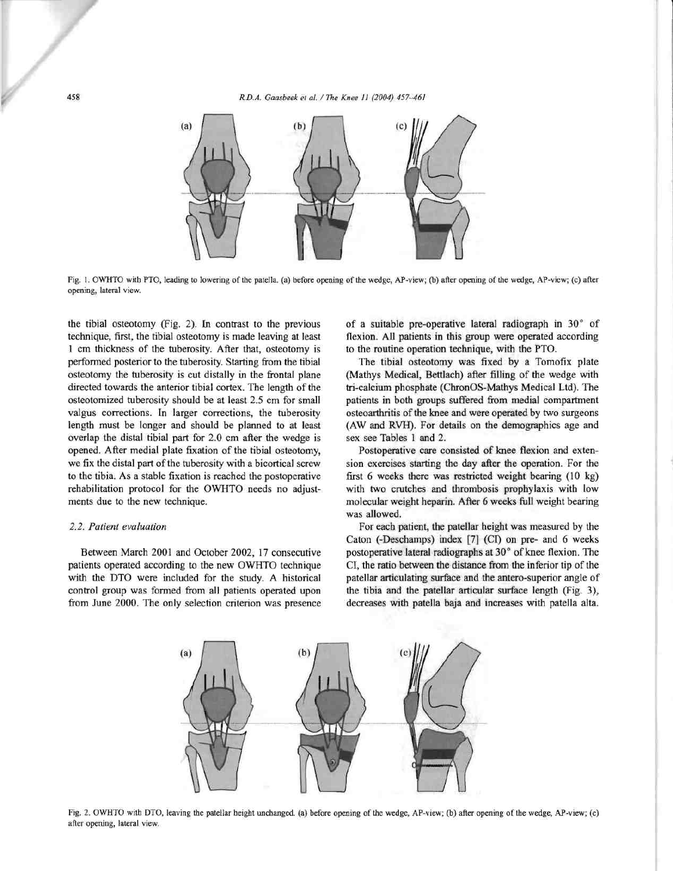458 *R.D.A. Gaasbeek* el *al.* / *The Knee* 11 *(2004) 457-461* 



Fig. 1. OWHTO with PTO, leading to lowering of the patella. (a) before opening of the wedge, AP-view; (b) after opening of the wedge, AP-view; (c) after opening, lateral view.

the tibial osteotomy (Fig. 2). In contrast to the previous technique, first, the tibial osteotomy is made leaving at least 1 cm thickness of the tuberosity. After that, osteotomy is performed posterior to the tuberosity. Starting from the tibial osteotomy the tuberosity is cut distally in the frontal plane directed towards the anterior tibial cortex. The length of the osteotomized tuberosity should be at least 2.5 cm for small valgus corrections. In larger corrections, the tuberosity length must be longer and should be planned to at least overlap the distal tibial part for 2.0 cm after the wedge is opened. After medial plate fixation of the tibial osteotomy, we fix the distal part of the tuberosity with a bicortical screw to the tibia. As a stable fixation is reached the postoperative rehabilitation protocol for the OWHTO needs no adjustments due to the new technique.

#### *2.2. Patient evaluation*

Between March 2001 and October 2002, 17 consecutive patients operated according to the new OWHTO technique with the DTO were included for the study. A historical control group was formed from all patients operated upon from June 2000. The only selection criterion was presence of a suitable pre-operative lateral radiograph in 30° of flexion. All patients in this group were operated according to the routine operation technique, with the PTO.

The tibial osteotomy was fixed by a Tomofix plate (Mathys Medical, Bettlach) after filling of the wedge with tri-calcium phosphate (ChronOS-Mathys Medical LId). The patients in both groups suffered from medial compartment osteoarthritis of the knee and were operated by two surgeons (AW and RVH). For details on the demographics age and sex see Tables I and 2.

Postoperative care consisted of knee flexion and extension exercises starting the day after the operation. For the first 6 weeks there was restricted weight bearing (10 kg) with two crutches and thrombosis prophylaxis with low molecular weight heparin. After 6 weeks full weight bearing was allowed.

For each patient, the patellar height was measured by the Caton (-Deschamps) index [7] (CI) on pre- and 6 weeks postoperative lateral radiographs at  $30^{\circ}$  of knee flexion. The CI, the ratio between the distance from the inferior tip of the patellar articulating surface and the antero-superior angle of the tibia and the patellar articular surface length (Fig. 3), decreases with patella baja and increases with patella alta.



Fig. 2. OWHTO with DTO, leaving the patellar beight unchanged. (a) before opening of the wedge, AP-view; (b) after opening of the wedge, AP-view; (c) after opening, lateral view.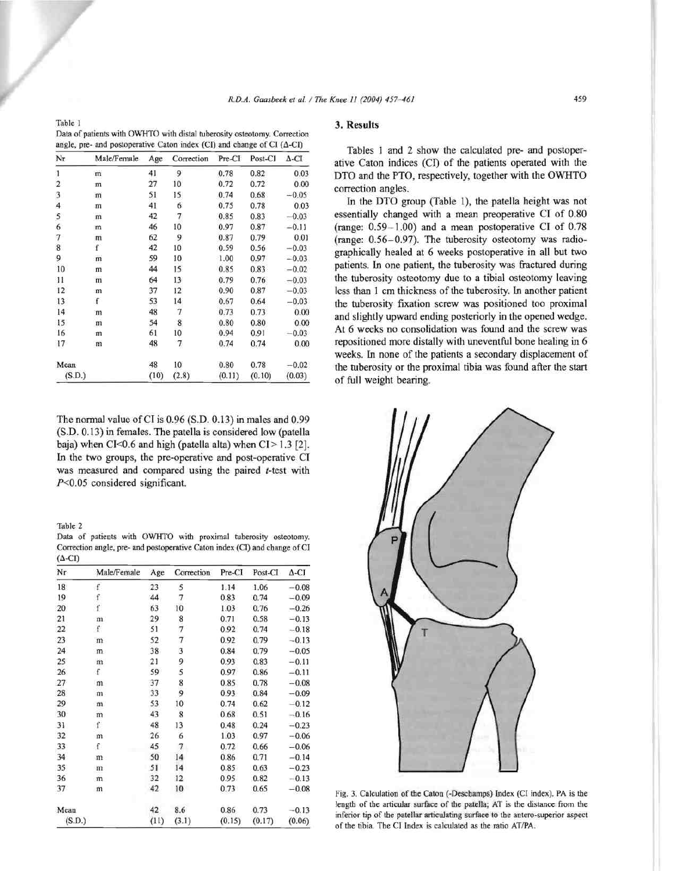| angle, pre- and postoperative Caton index (CI) and change of CI ( $\Delta$ -CI) |             |      |            |        |         |              |  |  |
|---------------------------------------------------------------------------------|-------------|------|------------|--------|---------|--------------|--|--|
| Nr                                                                              | Male/Female | Age  | Correction | Pre-CI | Post-CI | $\Delta$ -CI |  |  |
| 1                                                                               | m           | 41   | 9          | 0.78   | 0.82    | 0.03         |  |  |
| 2                                                                               | m           | 27   | 10         | 0.72   | 0.72    | 0.00         |  |  |
| 3                                                                               | m           | 51   | 15         | 0.74   | 0.68    | $-0.05$      |  |  |
| 4                                                                               | m           | 41   | 6          | 0.75   | 0.78    | 0.03         |  |  |
| 5                                                                               | m           | 42   | $\tau$     | 0.85   | 0.83    | $-0.03$      |  |  |
| 6                                                                               | m           | 46   | 10         | 0.97   | 0.87    | $-0.11$      |  |  |
| 7                                                                               | m           | 62   | 9          | 0.87   | 0.79    | 0.01         |  |  |
| 8                                                                               | ť           | 42   | 10         | 0.59   | 0.56    | $-0.03$      |  |  |
| 9                                                                               | m           | 59   | 10         | 1.00   | 0.97    | $-0.03$      |  |  |
| 10                                                                              | m           | 44   | 15         | 0.85   | 0.83    | $-0.02$      |  |  |
| 11                                                                              | m           | 64   | 13         | 0.79   | 0.76    | $-0.03$      |  |  |
| 12                                                                              | m           | 37   | 12         | 0.90   | 0.87    | $-0.03$      |  |  |
| 13                                                                              | f           | 53   | 14         | 0.67   | 0.64    | $-0.03$      |  |  |
| 14                                                                              | m           | 48   | $\tau$     | 0.73   | 0.73    | 0.00         |  |  |
| 15                                                                              | m           | 54   | 8          | 0.80   | 0.80    | 0.00         |  |  |
| 16                                                                              | m           | 61   | 10         | 0.94   | 0.91    | $-0.03$      |  |  |
| 17                                                                              | m           | 48   | $\tau$     | 0.74   | 0.74    | 0.00         |  |  |
| Mean                                                                            |             | 48   | 10         | 0.80   | 0.78    | $-0.02$      |  |  |
| (S.D.)                                                                          |             | (10) | (2.8)      | (0.11) | (0.10)  | (0.03)       |  |  |

The normal value of CI is 0.96 (S.D. 0.13) in males and 0.99 (S.D. 0.13) in females. The patella is considered low (patella baja) when CI<0.6 and high (patella alta) when  $CI > 1.3$  [2]. In the two groups, the pre-operative and post-operative CI was measured and compared using the paired *t-test* with *P<0.05* considered significant.

Table 2

Table 1

|                |  |  |  | Data of patients with OWHTO with proximal tuberosity osteotomy.            |
|----------------|--|--|--|----------------------------------------------------------------------------|
|                |  |  |  | Correction angle, pre- and postoperative Caton index (CI) and change of CI |
| $(\Delta$ -CI) |  |  |  |                                                                            |

| Nr     | Male/Female  | Age  | Correction     | Pre-CI | Post-CI | $\Delta$ -CI |
|--------|--------------|------|----------------|--------|---------|--------------|
| 18     | $\mathbf f$  | 23   | 5              | 1.14   | 1.06    | $-0.08$      |
| 19     | f            | 44   | 7              | 0.83   | 0.74    | $-0.09$      |
| 20     | $\mathbf f$  | 63   | 10             | 1.03   | 0.76    | $-0.26$      |
| 21     | m            | 29   | 8              | 0.71   | 0.58    | $-0.13$      |
| 22     | f            | 51   | $\overline{7}$ | 0.92   | 0.74    | $-0.18$      |
| 23     | m            | 52   | 7              | 0.92   | 0.79    | $-0.13$      |
| 24     | m            | 38   | 3              | 0.84   | 0.79    | $-0.05$      |
| 25     | $\mathbf{m}$ | 21   | 9              | 0.93   | 0.83    | $-0.11$      |
| 26     | f            | 59   | 5              | 0.97   | 0.86    | $-0.11$      |
| 27     | m            | 37   |                | 0.85   | 0.78    | $-0.08$      |
| 28     | m            | 33   | 8<br>9         | 0.93   | 0.84    | $-0.09$      |
| 29     | m            | 53   | 10             | 0.74   | 0.62    | $-0.12$      |
| 30     | m            | 43   | 8              | 0.68   | 0.51    | $-0.16$      |
| 31     | f            | 48   | 13             | 0.48   | 0.24    | $-0.23$      |
| 32     | m            | 26   | 6              | 1.03   | 0.97    | $-0.06$      |
| 33     | f            | 45   | 7              | 0.72   | 0.66    | $-0.06$      |
| 34     | m            | 50   | 14             | 0.86   | 0.71    | $-0.14$      |
| 35     | m            | 51   | 14             | 0.85   | 0.63    | $-0.23$      |
| 36     | m            | 32   | 12             | 0.95   | 0.82    | $-0.13$      |
| 37     | m            | 42   | 10             | 0.73   | 0.65    | $-0.08$      |
| Mean   |              | 42   | 8.6            | 0.86   | 0.73    | $-0.13$      |
| (S.D.) |              | (11) | (3.1)          | (0.15) | (0.17)  | (0.06)       |

# 3. **Results**

Tables 1 and 2 show the calculated pre- and postoperative Caton indices (CI) of the patients operated with the DTO and the PTO, respectively, together with the OWHTO correction angles.

In the DTO group (Table 1), the patella height was not essentially changed with a mean preoperative CI of 0.80 (range:  $0.59-1.00$ ) and a mean postoperative CI of  $0.78$ (range:  $0.56-0.97$ ). The tuberosity osteotomy was radiographically healed at 6 weeks postoperative in all but two patients. In one patient, the tuberosity was fractured during the tuberosity osteotomy due to a tibial osteotomy leaving less than 1 cm thickness of the tuberosity. In another patient the tuberosity fixation screw was positioned too proximal and slightly upward ending posteriorly in the opened wedge. At 6 weeks no consolidation was found and the screw was repositioned more distally with uneventful bone bealing in 6 weeks. In none of the patients a secondary displacement of tbe tuberosity or the proximal tibia was found after the start of full weight bearing.



Fig. 3. Calculation of the Caton (-Deschamps) Index (CI index). PA is the length of the articular surface of the patella; AT is the distance from the inferior tip of the patellar articulating surface to the antero-superior aspect of the tibia. The CI Index is calculated as the ratio AT/PA.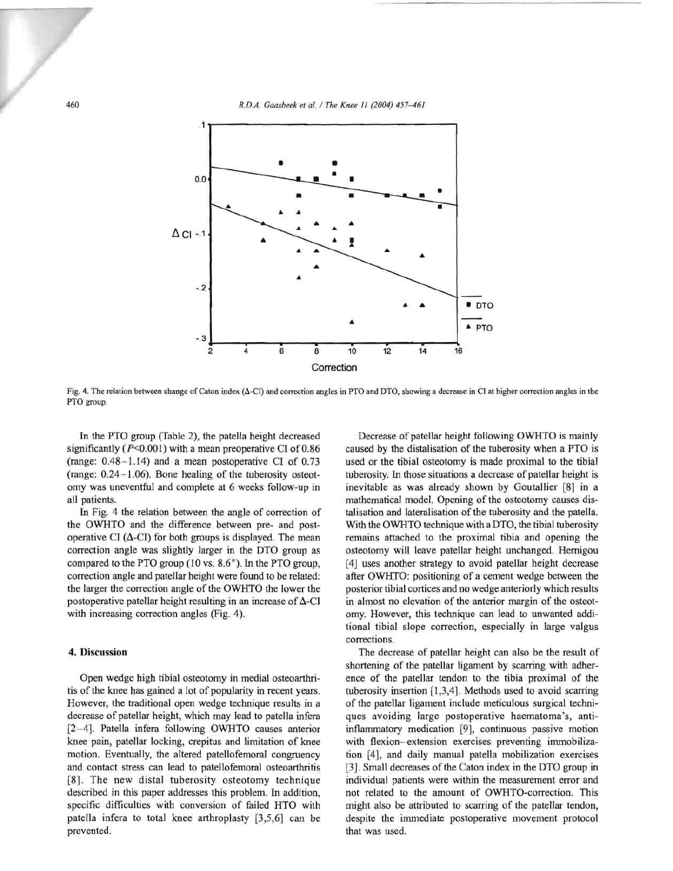460 *R.D.A. Gaasbeek el al.* / *The Knee* IJ *(2004) 457-461* 



Fig. 4. The relation between change of Caton index ( $\Delta$ -CI) and correction angles in PTO and DTO, showing a decrease in CI at higher correction angles in the PTO group.

In the PTO group (Table 2), the patella height decreased significantly ( $P<0.001$ ) with a mean preoperative CI of  $0.86$ (range: 0.48-1.14) and a mean postoperative CI of 0.73 (range: 0.24 - 1.06). Bone healing of the tuberosity osteotomy was uneventful and complete at 6 weeks follow-up in all patients.

In Fig. 4 the relation between the angle of correction of the OWHTO and the difference between pre- and postoperative CI  $(Δ-CI)$  for both groups is displayed. The mean correction angle was slightly larger in the DTO group as compared to the PTO group  $(10 \text{ vs. } 8.6^{\circ})$ . In the PTO group, correction angle and patellar height were found to be related: the larger the correction angle of the OWHTO the lower the postoperative patellar height resulting in an increase of  $\Delta$ -CI with increasing correction angles (Fig. 4).

#### 4. Discussion

Open wedge high tibial osteotomy in medial osteoarthritis of the knee has gained a lot of popularity in recent years. However, the traditional open wedge technique results in a decrease of patellar height, which may lead to patella infera [2-4]. Patella infera following OWHTO causes anterior knee pain, patellar locking, crepitus and limitation of knee motion. Eventually, the altered patellofemoral congruency and contact stress can lead to patellofemoral osteoarthritis [8]. The new distal tuberosity osteotomy technique described in this paper addresses this problem. In addition, specific difficulties with conversion of failed HTO with patella infera to total knee arthroplasty [3,5,6] can be prevented.

Decrease of patellar height following OWHTO is mainly caused by the distalisation of the tuberosity when a PTO is used or the tibial osteotomy is made proximal to the tibial tuberosity. In those situations a decrease of patellar height is inevitable as was already shown by GoutalIier [8] in a mathematical model. Opening of the osteotomy causes distalisation and lateralisation of the tuberosity and the patella. With the OWHTO technique with a DTO, the tibial tuberosity remains attached to the proximal tibia and opening the osteotomy will leave patellar height unchanged. Hernigou [4] uses another strategy to avoid patellar height decrease after OWHTO: positioning of a cement wedge between the posterior tibial cortices and no wedge anteriorly which results in almost no elevation of the anterior margin of the osteotomy. However, this technique can lead to unwanted additional tibial slope correction, especially in large valgus corrections.

The decrease of patellar height can also be the result of shortening of the patellar ligament by scarring with adherence of the patellar tendon to the tibia proximal of the tuberosity insertion [1,3,4]. Methods used to avoid scarring of the patellar ligament inc1ude meticulous surgical techniques avoiding large postoperative haematoma's, antiinflammatory medication [9], continuous passive motion with flexion-extension exercises preventing immobilization [4], and daily manual patella mobilization exercises [3]. Small decreases of the Caton index in the DTO group in individual patients were within the measurement error and not related to the amount of OWHTO-correction. This might also be attributed to scarring of the patellar tendon, despite the immediate postoperative movement protocol that was used.